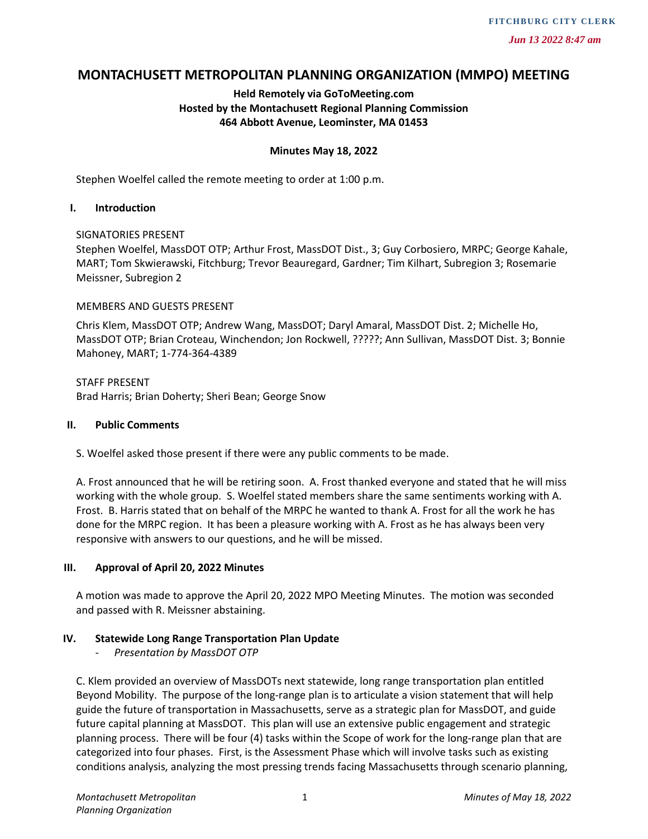# **MONTACHUSETT METROPOLITAN PLANNING ORGANIZATION (MMPO) MEETING**

### **Held Remotely via GoToMeeting.com Hosted by the Montachusett Regional Planning Commission 464 Abbott Avenue, Leominster, MA 01453**

### **Minutes May 18, 2022**

Stephen Woelfel called the remote meeting to order at 1:00 p.m.

### **I. Introduction**

### SIGNATORIES PRESENT

Stephen Woelfel, MassDOT OTP; Arthur Frost, MassDOT Dist., 3; Guy Corbosiero, MRPC; George Kahale, MART; Tom Skwierawski, Fitchburg; Trevor Beauregard, Gardner; Tim Kilhart, Subregion 3; Rosemarie Meissner, Subregion 2

### MEMBERS AND GUESTS PRESENT

Chris Klem, MassDOT OTP; Andrew Wang, MassDOT; Daryl Amaral, MassDOT Dist. 2; Michelle Ho, MassDOT OTP; Brian Croteau, Winchendon; Jon Rockwell, ?????; Ann Sullivan, MassDOT Dist. 3; Bonnie Mahoney, MART; 1-774-364-4389

STAFF PRESENT Brad Harris; Brian Doherty; Sheri Bean; George Snow

### **II. Public Comments**

S. Woelfel asked those present if there were any public comments to be made.

A. Frost announced that he will be retiring soon. A. Frost thanked everyone and stated that he will miss working with the whole group. S. Woelfel stated members share the same sentiments working with A. Frost. B. Harris stated that on behalf of the MRPC he wanted to thank A. Frost for all the work he has done for the MRPC region. It has been a pleasure working with A. Frost as he has always been very responsive with answers to our questions, and he will be missed.

# **III. Approval of April 20, 2022 Minutes**

A motion was made to approve the April 20, 2022 MPO Meeting Minutes. The motion was seconded and passed with R. Meissner abstaining.

# **IV. Statewide Long Range Transportation Plan Update**

- *Presentation by MassDOT OTP*

C. Klem provided an overview of MassDOTs next statewide, long range transportation plan entitled Beyond Mobility. The purpose of the long-range plan is to articulate a vision statement that will help guide the future of transportation in Massachusetts, serve as a strategic plan for MassDOT, and guide future capital planning at MassDOT. This plan will use an extensive public engagement and strategic planning process. There will be four (4) tasks within the Scope of work for the long-range plan that are categorized into four phases. First, is the Assessment Phase which will involve tasks such as existing conditions analysis, analyzing the most pressing trends facing Massachusetts through scenario planning,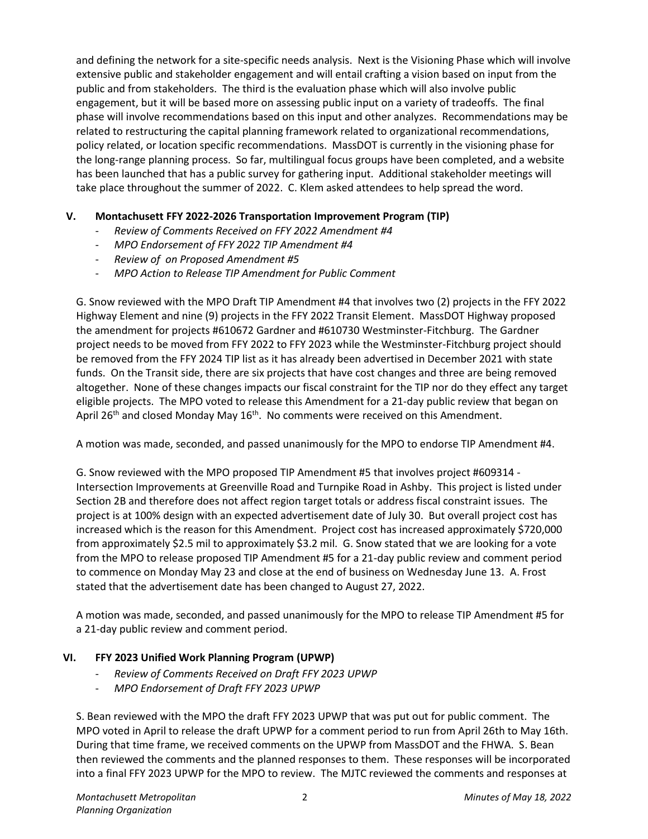and defining the network for a site-specific needs analysis. Next is the Visioning Phase which will involve extensive public and stakeholder engagement and will entail crafting a vision based on input from the public and from stakeholders. The third is the evaluation phase which will also involve public engagement, but it will be based more on assessing public input on a variety of tradeoffs. The final phase will involve recommendations based on this input and other analyzes. Recommendations may be related to restructuring the capital planning framework related to organizational recommendations, policy related, or location specific recommendations. MassDOT is currently in the visioning phase for the long-range planning process. So far, multilingual focus groups have been completed, and a website has been launched that has a public survey for gathering input. Additional stakeholder meetings will take place throughout the summer of 2022. C. Klem asked attendees to help spread the word.

### **V. Montachusett FFY 2022-2026 Transportation Improvement Program (TIP)**

- *Review of Comments Received on FFY 2022 Amendment #4*
- *MPO Endorsement of FFY 2022 TIP Amendment #4*
- *Review of on Proposed Amendment #5*
- *MPO Action to Release TIP Amendment for Public Comment*

G. Snow reviewed with the MPO Draft TIP Amendment #4 that involves two (2) projects in the FFY 2022 Highway Element and nine (9) projects in the FFY 2022 Transit Element. MassDOT Highway proposed the amendment for projects #610672 Gardner and #610730 Westminster-Fitchburg. The Gardner project needs to be moved from FFY 2022 to FFY 2023 while the Westminster-Fitchburg project should be removed from the FFY 2024 TIP list as it has already been advertised in December 2021 with state funds. On the Transit side, there are six projects that have cost changes and three are being removed altogether. None of these changes impacts our fiscal constraint for the TIP nor do they effect any target eligible projects. The MPO voted to release this Amendment for a 21-day public review that began on April 26<sup>th</sup> and closed Monday May 16<sup>th</sup>. No comments were received on this Amendment.

A motion was made, seconded, and passed unanimously for the MPO to endorse TIP Amendment #4.

G. Snow reviewed with the MPO proposed TIP Amendment #5 that involves project #609314 - Intersection Improvements at Greenville Road and Turnpike Road in Ashby. This project is listed under Section 2B and therefore does not affect region target totals or address fiscal constraint issues. The project is at 100% design with an expected advertisement date of July 30. But overall project cost has increased which is the reason for this Amendment. Project cost has increased approximately \$720,000 from approximately \$2.5 mil to approximately \$3.2 mil. G. Snow stated that we are looking for a vote from the MPO to release proposed TIP Amendment #5 for a 21-day public review and comment period to commence on Monday May 23 and close at the end of business on Wednesday June 13. A. Frost stated that the advertisement date has been changed to August 27, 2022.

A motion was made, seconded, and passed unanimously for the MPO to release TIP Amendment #5 for a 21-day public review and comment period.

### **VI. FFY 2023 Unified Work Planning Program (UPWP)**

- *Review of Comments Received on Draft FFY 2023 UPWP*
- *MPO Endorsement of Draft FFY 2023 UPWP*

S. Bean reviewed with the MPO the draft FFY 2023 UPWP that was put out for public comment. The MPO voted in April to release the draft UPWP for a comment period to run from April 26th to May 16th. During that time frame, we received comments on the UPWP from MassDOT and the FHWA. S. Bean then reviewed the comments and the planned responses to them. These responses will be incorporated into a final FFY 2023 UPWP for the MPO to review. The MJTC reviewed the comments and responses at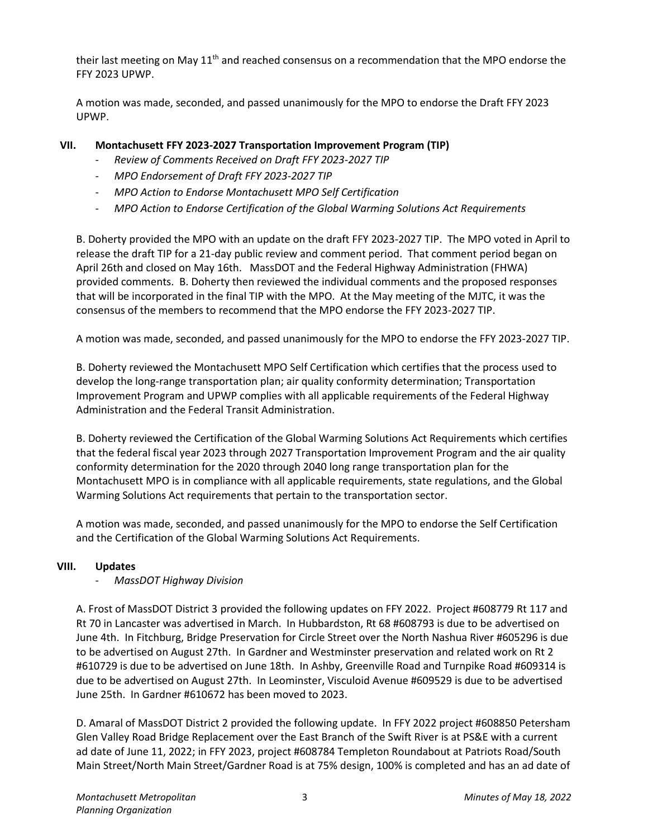their last meeting on May  $11<sup>th</sup>$  and reached consensus on a recommendation that the MPO endorse the FFY 2023 UPWP.

A motion was made, seconded, and passed unanimously for the MPO to endorse the Draft FFY 2023 UPWP.

# **VII. Montachusett FFY 2023-2027 Transportation Improvement Program (TIP)**

- *Review of Comments Received on Draft FFY 2023-2027 TIP*
- *MPO Endorsement of Draft FFY 2023-2027 TIP*
- *MPO Action to Endorse Montachusett MPO Self Certification*
- *MPO Action to Endorse Certification of the Global Warming Solutions Act Requirements*

B. Doherty provided the MPO with an update on the draft FFY 2023-2027 TIP. The MPO voted in April to release the draft TIP for a 21-day public review and comment period. That comment period began on April 26th and closed on May 16th. MassDOT and the Federal Highway Administration (FHWA) provided comments. B. Doherty then reviewed the individual comments and the proposed responses that will be incorporated in the final TIP with the MPO. At the May meeting of the MJTC, it was the consensus of the members to recommend that the MPO endorse the FFY 2023-2027 TIP.

A motion was made, seconded, and passed unanimously for the MPO to endorse the FFY 2023-2027 TIP.

B. Doherty reviewed the Montachusett MPO Self Certification which certifies that the process used to develop the long-range transportation plan; air quality conformity determination; Transportation Improvement Program and UPWP complies with all applicable requirements of the Federal Highway Administration and the Federal Transit Administration.

B. Doherty reviewed the Certification of the Global Warming Solutions Act Requirements which certifies that the federal fiscal year 2023 through 2027 Transportation Improvement Program and the air quality conformity determination for the 2020 through 2040 long range transportation plan for the Montachusett MPO is in compliance with all applicable requirements, state regulations, and the Global Warming Solutions Act requirements that pertain to the transportation sector.

A motion was made, seconded, and passed unanimously for the MPO to endorse the Self Certification and the Certification of the Global Warming Solutions Act Requirements.

### **VIII. Updates**

- *MassDOT Highway Division*

A. Frost of MassDOT District 3 provided the following updates on FFY 2022. Project #608779 Rt 117 and Rt 70 in Lancaster was advertised in March. In Hubbardston, Rt 68 #608793 is due to be advertised on June 4th. In Fitchburg, Bridge Preservation for Circle Street over the North Nashua River #605296 is due to be advertised on August 27th. In Gardner and Westminster preservation and related work on Rt 2 #610729 is due to be advertised on June 18th. In Ashby, Greenville Road and Turnpike Road #609314 is due to be advertised on August 27th. In Leominster, Visculoid Avenue #609529 is due to be advertised June 25th. In Gardner #610672 has been moved to 2023.

D. Amaral of MassDOT District 2 provided the following update. In FFY 2022 project #608850 Petersham Glen Valley Road Bridge Replacement over the East Branch of the Swift River is at PS&E with a current ad date of June 11, 2022; in FFY 2023, project #608784 Templeton Roundabout at Patriots Road/South Main Street/North Main Street/Gardner Road is at 75% design, 100% is completed and has an ad date of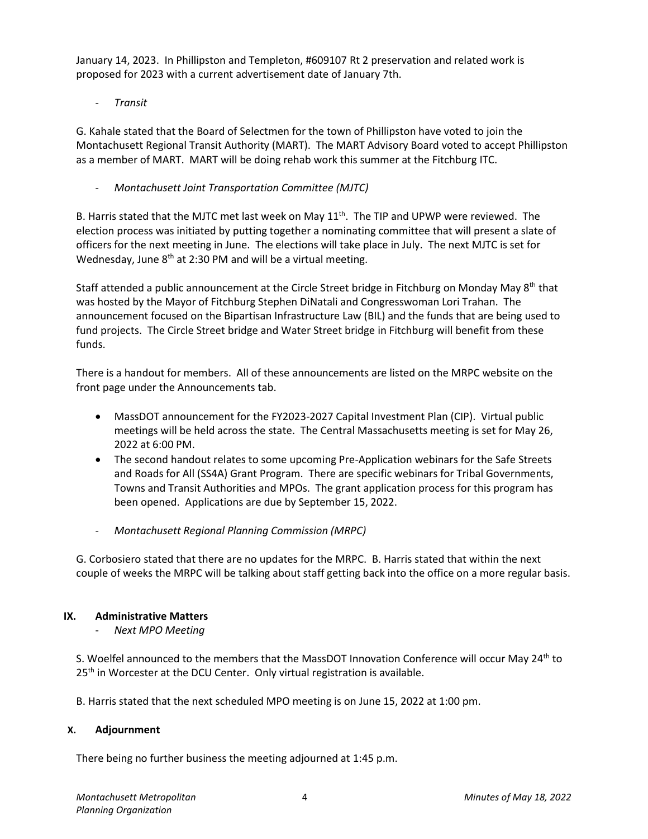January 14, 2023. In Phillipston and Templeton, #609107 Rt 2 preservation and related work is proposed for 2023 with a current advertisement date of January 7th.

- *Transit*

G. Kahale stated that the Board of Selectmen for the town of Phillipston have voted to join the Montachusett Regional Transit Authority (MART). The MART Advisory Board voted to accept Phillipston as a member of MART. MART will be doing rehab work this summer at the Fitchburg ITC.

- *Montachusett Joint Transportation Committee (MJTC)*

B. Harris stated that the MJTC met last week on May  $11<sup>th</sup>$ . The TIP and UPWP were reviewed. The election process was initiated by putting together a nominating committee that will present a slate of officers for the next meeting in June. The elections will take place in July. The next MJTC is set for Wednesday, June  $8<sup>th</sup>$  at 2:30 PM and will be a virtual meeting.

Staff attended a public announcement at the Circle Street bridge in Fitchburg on Monday May 8<sup>th</sup> that was hosted by the Mayor of Fitchburg Stephen DiNatali and Congresswoman Lori Trahan. The announcement focused on the Bipartisan Infrastructure Law (BIL) and the funds that are being used to fund projects. The Circle Street bridge and Water Street bridge in Fitchburg will benefit from these funds.

There is a handout for members. All of these announcements are listed on the MRPC website on the front page under the Announcements tab.

- MassDOT announcement for the FY2023-2027 Capital Investment Plan (CIP). Virtual public meetings will be held across the state. The Central Massachusetts meeting is set for May 26, 2022 at 6:00 PM.
- The second handout relates to some upcoming Pre-Application webinars for the Safe Streets and Roads for All (SS4A) Grant Program. There are specific webinars for Tribal Governments, Towns and Transit Authorities and MPOs. The grant application process for this program has been opened. Applications are due by September 15, 2022.
- *Montachusett Regional Planning Commission (MRPC)*

G. Corbosiero stated that there are no updates for the MRPC. B. Harris stated that within the next couple of weeks the MRPC will be talking about staff getting back into the office on a more regular basis.

# **IX. Administrative Matters**

- *Next MPO Meeting*

S. Woelfel announced to the members that the MassDOT Innovation Conference will occur May 24<sup>th</sup> to 25<sup>th</sup> in Worcester at the DCU Center. Only virtual registration is available.

B. Harris stated that the next scheduled MPO meeting is on June 15, 2022 at 1:00 pm.

### **X. Adjournment**

There being no further business the meeting adjourned at 1:45 p.m.